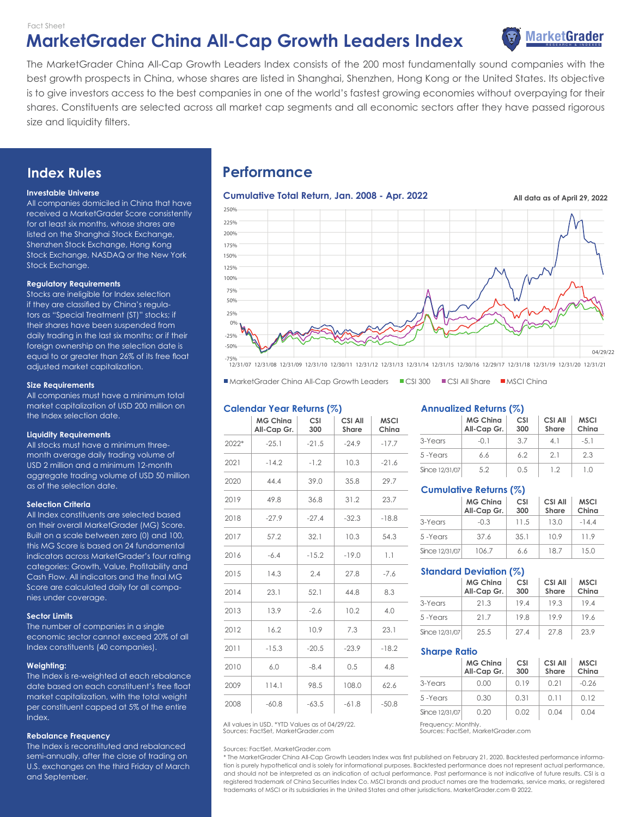Fact Sheet

# **MarketGrader China All-Cap Growth Leaders Index**



The MarketGrader China All-Cap Growth Leaders Index consists of the 200 most fundamentally sound companies with the best growth prospects in China, whose shares are listed in Shanghai, Shenzhen, Hong Kong or the United States. Its objective is to give investors access to the best companies in one of the world's fastest growing economies without overpaying for their shares. Constituents are selected across all market cap segments and all economic sectors after they have passed rigorous size and liquidity filters.

# **Index Rules**

#### **Investable Universe**

All companies domiciled in China that have received a MarketGrader Score consistently for at least six months, whose shares are listed on the Shanghai Stock Exchange, Shenzhen Stock Exchange, Hong Kong Stock Exchange, NASDAQ or the New York Stock Exchange.

#### **Regulatory Requirements**

Stocks are ineligible for Index selection if they are classified by China's regulators as "Special Treatment (ST)" stocks; if their shares have been suspended from daily trading in the last six months; or if their foreign ownership on the selection date is equal to or greater than 26% of its free float adjusted market capitalization.

#### **Size Requirements**

All companies must have a minimum total market capitalization of USD 200 million on the Index selection date.

#### **Liquidity Requirements**

All stocks must have a minimum threemonth average daily trading volume of USD 2 million and a minimum 12-month aggregate trading volume of USD 50 million as of the selection date.

#### **Selection Criteria**

All Index constituents are selected based on their overall MarketGrader (MG) Score. Built on a scale between zero (0) and 100, this MG Score is based on 24 fundamental indicators across MarketGrader's four rating categories: Growth, Value, Profitability and Cash Flow. All indicators and the final MG Score are calculated daily for all companies under coverage.

#### **Sector Limits**

The number of companies in a single economic sector cannot exceed 20% of all Index constituents (40 companies).

#### **Weighting:**

The Index is re-weighted at each rebalance date based on each constituent's free float market capitalization, with the total weight per constituent capped at 5% of the entire Index.

#### **Rebalance Frequency**

The Index is reconstituted and rebalanced semi-annually, after the close of trading on U.S. exchanges on the third Friday of March and September.

# **Performance**



■ MarketGrader China All-Cap Growth Leaders ■ CSI 300 ■ CSI All Share ■ MSCI China

## **Calendar Year Returns (%)**

|       | <b>MG Ching</b><br>All-Cap Gr. | <b>CSI</b><br>300 | <b>CSI All</b><br><b>Share</b> | <b>MSCI</b><br>China |
|-------|--------------------------------|-------------------|--------------------------------|----------------------|
| 2022* | $-25.1$                        | $-21.5$           | $-24.9$                        | $-17.7$              |
| 2021  | $-14.2$                        | $-1.2$            | 10.3                           | $-21.6$              |
| 2020  | 44.4                           | 39.0              | 35.8                           | 29.7                 |
| 2019  | 49.8                           | 36.8              | 31.2                           | 23.7                 |
| 2018  | $-27.9$                        | $-27.4$           | $-32.3$                        | $-18.8$              |
| 2017  | 57.2                           | 32.1              | 10.3                           | 54.3                 |
| 2016  | $-6.4$                         | $-15.2$           | $-19.0$                        | 1.1                  |
| 2015  | 14.3                           | 2.4               | 27.8                           | $-7.6$               |
| 2014  | 23.1                           | 52.1              | 44.8                           | 8.3                  |
| 2013  | 13.9                           | $-2.6$            | 10.2                           | 4.0                  |
| 2012  | 16.2                           | 10.9              | 7.3                            | 23.1                 |
| 2011  | $-15.3$                        | $-20.5$           | $-23.9$                        | $-18.2$              |
| 2010  | 6.0                            | $-8.4$            | 0.5                            | 4.8                  |
| 2009  | 114.1                          | 98.5              | 108.0                          | 62.6                 |
| 2008  | $-60.8$                        | $-63.5$           | $-61.8$                        | $-50.8$              |

Sources: FactSet, MarketGrader.com All values in USD. \*YTD Values as of 04/29/22. Frequency: Monthly.

#### Sources: FactSet, MarketGrader.com

\* The MarketGrader China All-Cap Growth Leaders Index was first published on February 21, 2020. Backtested performance information is purely hypothetical and is solely for informational purposes. Backtested performance does not represent actual performance, and should not be interpreted as an indication of actual performance. Past performance is not indicative of future results. CSI is a registered trademark of China Securities Index Co. MSCI brands and product names are the trademarks, service marks, or registered trademarks of MSCI or its subsidiaries in the United States and other jurisdictions. MarketGrader.com © 2022.

#### **Annualized Returns (%)**

|                | <b>MG Ching</b><br>All-Cap Gr. | <b>CSI</b><br>300 | CSI All<br>Share | <b>MSCI</b><br>China |  |
|----------------|--------------------------------|-------------------|------------------|----------------------|--|
| 3-Years        | $-01$                          | 37                | 41               | $-5.1$               |  |
| 5-Years        | 6.6                            | 62                | 21               | 2.3                  |  |
| Since 12/31/07 | 5.2                            | 0.5               | 12               | 10                   |  |

# **Cumulative Returns (%)**

|                | <b>MG Ching</b><br>All-Cap Gr. | <b>CSI</b><br>300 | <b>CSI All</b><br><b>Share</b> | <b>MSCI</b><br>China |
|----------------|--------------------------------|-------------------|--------------------------------|----------------------|
| 3-Years        | $-0.3$                         | 11.5              | 13.0                           | $-144$               |
| 5-Years        | 37.6                           | 35.1              | 10.9                           | 119                  |
| Since 12/31/07 | 106.7                          | 6.6               | 18.7                           | 15.0                 |

# **Standard Deviation (%)**

|                | <b>MG Ching</b><br>All-Cap Gr. | CSI<br>300 | <b>CSI All</b><br><b>Share</b> | <b>MSCI</b><br>China |  |
|----------------|--------------------------------|------------|--------------------------------|----------------------|--|
| 3-Years        | 21.3                           | 19.4       | 19.3                           | 19.4                 |  |
| 5-Years        | 21.7                           | 19.8       | 19.9                           | 19.6                 |  |
| Since 12/31/07 | 25.5                           | 27.4       | 27.8                           | 23.9                 |  |

#### **Sharpe Ratio**

|  |                | <b>MG Ching</b><br>All-Cap Gr. | CSI<br>300 | <b>CSI All</b><br><b>Share</b> | <b>MSCI</b><br>China |  |
|--|----------------|--------------------------------|------------|--------------------------------|----------------------|--|
|  | 3-Years        | 0.00                           | 0.19       | 0.21                           | $-0.26$              |  |
|  | 5-Years        | 0.30                           | 0.31       | 0.11                           | 012                  |  |
|  | Since 12/31/07 | 0.20                           | 0.02       | 0.04                           | 0 Q4                 |  |

Sources: FactSet, MarketGrader.com